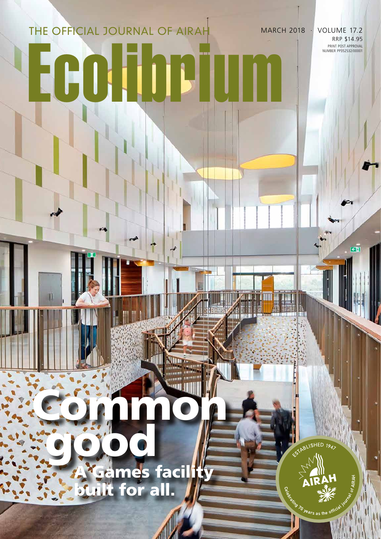# Ecolibrium THE OFFICIAL JOURNAL OF AIRAH

PRINT POST APPROVAL NUMBER PP352532/00001 MARCH 2018 · VOLUME 17.2 RRP \$14.95

**CM** 

ESTABLISHED 1947

**Example 20 years as the** 

## good **Games facilit** built for all.

 $\sqrt{2}$ 

Common

**NITTE**